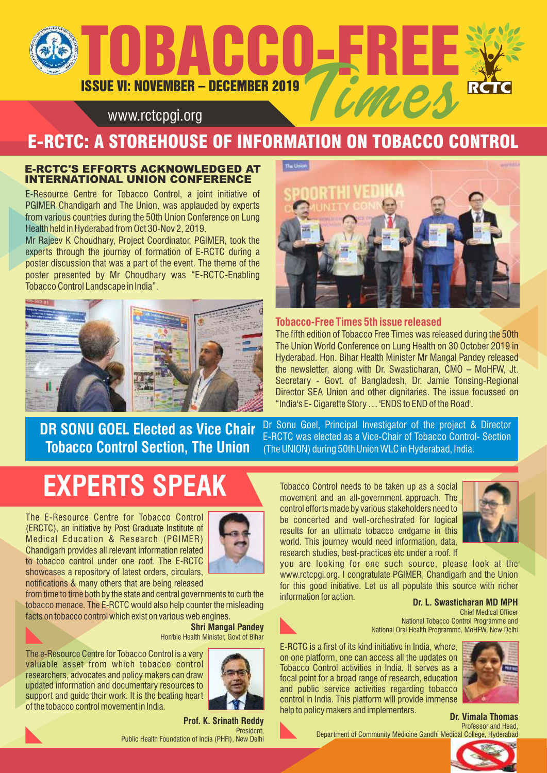# ISSUE VI: NOVEMBER – DECEMBER 2019 **BACCO-FREE**

## www.rctcpgi.org

# E-RCTC: A STOREHOUSE OF INFORMATION ON TOBACCO CONTROL

### E-RCTC'S EFFORTS ACKNOWLEDGED AT INTERNATIONAL UNION CONFERENCE

E-Resource Centre for Tobacco Control, a joint initiative of PGIMER Chandigarh and The Union, was applauded by experts from various countries during the 50th Union Conference on Lung Health held in Hyderabad from Oct 30-Nov 2, 2019.

Mr Rajeev K Choudhary, Project Coordinator, PGIMER, took the experts through the journey of formation of E-RCTC during a poster discussion that was a part of the event. The theme of the poster presented by Mr Choudhary was "E-RCTC-Enabling Tobacco Control Landscape in India".





**Tobacco-Free Times 5th issue released** The fifth edition of Tobacco Free Times was released during the 50th The Union World Conference on Lung Health on 30 October 2019 in Hyderabad. Hon. Bihar Health Minister Mr Mangal Pandey released the newsletter, along with Dr. Swasticharan, CMO – MoHFW, Jt. Secretary - Govt. of Bangladesh, Dr. Jamie Tonsing-Regional Director SEA Union and other dignitaries. The issue focussed on "India's E- Cigarette Story … 'ENDS to END of the Road'.

**DR SONU GOEL Elected as Vice Chair Tobacco Control Section, The Union** 

Dr Sonu Goel, Principal Investigator of the project & Director E-RCTC was elected as a Vice-Chair of Tobacco Control- Section (The UNION) during 50th Union WLC in Hyderabad, India.

# **EXPERTS SPEAK**

The E-Resource Centre for Tobacco Control (ERCTC), an initiative by Post Graduate Institute of Medical Education & Research (PGIMER) Chandigarh provides all relevant information related to tobacco control under one roof. The E-RCTC showcases a repository of latest orders, circulars, notifications & many others that are being released



from time to time both by the state and central governments to curb the tobacco menace. The E-RCTC would also help counter the misleading facts on tobacco control which exist on various web engines.

#### Hon'ble Health Minister, Govt of Bihar **Shri Mangal Pandey**

The e-Resource Centre for Tobacco Control is a very valuable asset from which tobacco control researchers, advocates and policy makers can draw updated information and documentary resources to support and guide their work. It is the beating heart of the tobacco control movement in India.



**Prof. K. Srinath Reddy President** Public Health Foundation of India (PHFI), New Delhi

Tobacco Control needs to be taken up as a social movement and an all-government approach. The control efforts made by various stakeholders need to be concerted and well-orchestrated for logical results for an ultimate tobacco endgame in this world. This journey would need information, data, research studies, best-practices etc under a roof. If



you are looking for one such source, please look at the www.rctcpgi.org. I congratulate PGIMER, Chandigarh and the Union for this good initiative. Let us all populate this source with richer information for action.

#### **Dr. L. Swasticharan MD MPH**

Chief Medical Officer National Tobacco Control Programme and National Oral Health Programme, MoHFW, New Delhi

E-RCTC is a first of its kind initiative in India, where, on one platform, one can access all the updates on Tobacco Control activities in India. It serves as a focal point for a broad range of research, education and public service activities regarding tobacco control in India. This platform will provide immense help to policy makers and implementers.



**Dr. Vimala Thomas** Professor and Head,

Department of Community Medicine Gandhi Medical College, Hyderabad

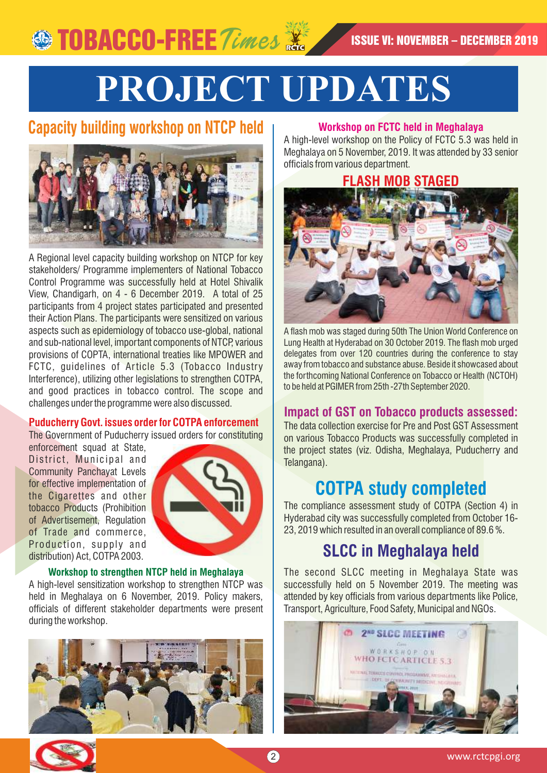# **PROJECT UPDATES**

# **Capacity building workshop on NTCP held**



A Regional level capacity building workshop on NTCP for key stakeholders/ Programme implementers of National Tobacco Control Programme was successfully held at Hotel Shivalik View, Chandigarh, on 4 - 6 December 2019. A total of 25 participants from 4 project states participated and presented their Action Plans. The participants were sensitized on various aspects such as epidemiology of tobacco use-global, national and sub-national level, important components of NTCP, various provisions of COPTA, international treaties like MPOWER and FCTC, guidelines of Article 5.3 (Tobacco Industry Interference), utilizing other legislations to strengthen COTPA, and good practices in tobacco control. The scope and challenges under the programme were also discussed.

### **Puducherry Govt. issues order for COTPA enforcement**

The Government of Puducherry issued orders for constituting

enforcement squad at State, District, Municipal and Community Panchayat Levels for effective implementation of the Cigarettes and other tobacco Products (Prohibition of Advertisement, Regulation of Trade and commerce, Production, supply and distribution) Act, COTPA 2003.



#### **Workshop to strengthen NTCP held in Meghalaya**  A high-level sensitization workshop to strengthen NTCP was held in Meghalaya on 6 November, 2019. Policy makers, officials of different stakeholder departments were present



## **Workshop on FCTC held in Meghalaya**

A high-level workshop on the Policy of FCTC 5.3 was held in Meghalaya on 5 November, 2019. It was attended by 33 senior officials from various department.



A flash mob was staged during 50th The Union World Conference on Lung Health at Hyderabad on 30 October 2019. The flash mob urged delegates from over 120 countries during the conference to stay away from tobacco and substance abuse. Beside it showcased about the forthcoming National Conference on Tobacco or Health (NCTOH) to be held at PGIMER from 25th -27th September 2020.

## **Impact of GST on Tobacco products assessed:**

The data collection exercise for Pre and Post GST Assessment on various Tobacco Products was successfully completed in the project states (viz. Odisha, Meghalaya, Puducherry and Telangana).

# **COTPA study completed**

The compliance assessment study of COTPA (Section 4) in Hyderabad city was successfully completed from October 16- 23, 2019 which resulted in an overall compliance of 89.6 %.

# **SLCC in Meghalaya held**

The second SLCC meeting in Meghalaya State was successfully held on 5 November 2019. The meeting was attended by key officials from various departments like Police, Transport, Agriculture, Food Safety, Municipal and NGOs.





during the workshop.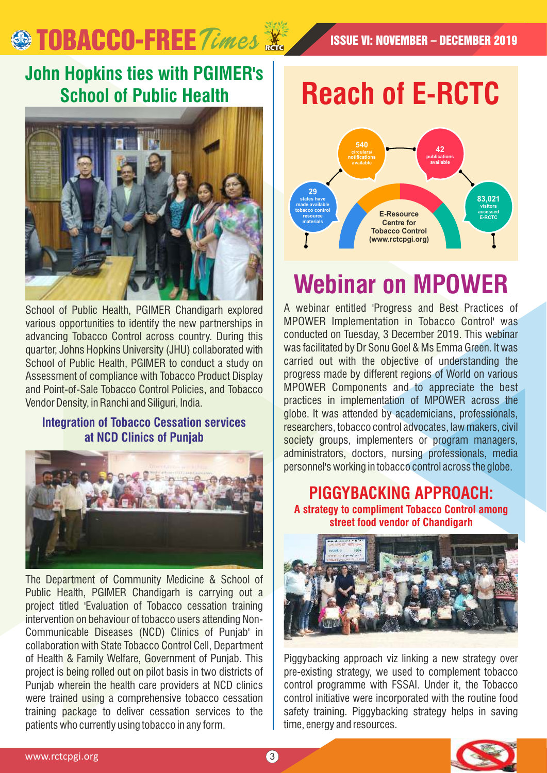# **SO TOBACCO-FREE** Times **X** ISSUE VI: NOVEMBER – DECEMBER 2019

# **John Hopkins ties with PGIMER's School of Public Health**



School of Public Health, PGIMER Chandigarh explored various opportunities to identify the new partnerships in advancing Tobacco Control across country. During this quarter, Johns Hopkins University (JHU) collaborated with School of Public Health, PGIMER to conduct a study on Assessment of compliance with Tobacco Product Display and Point-of-Sale Tobacco Control Policies, and Tobacco Vendor Density, in Ranchi and Siliguri, India.

## **Integration of Tobacco Cessation services at NCD Clinics of Punjab**



The Department of Community Medicine & School of Public Health, PGIMER Chandigarh is carrying out a project titled 'Evaluation of Tobacco cessation training intervention on behaviour of tobacco users attending Non-Communicable Diseases (NCD) Clinics of Punjab' in collaboration with State Tobacco Control Cell, Department of Health & Family Welfare, Government of Punjab. This project is being rolled out on pilot basis in two districts of Punjab wherein the health care providers at NCD clinics were trained using a comprehensive tobacco cessation training package to deliver cessation services to the patients who currently using tobacco in any form.

**Reach of E-RCTC**



# **Webinar on MPOWER**

A webinar entitled 'Progress and Best Practices of MPOWER Implementation in Tobacco Control' was conducted on Tuesday, 3 December 2019. This webinar was facilitated by Dr Sonu Goel & Ms Emma Green. It was carried out with the objective of understanding the progress made by different regions of World on various MPOWER Components and to appreciate the best practices in implementation of MPOWER across the globe. It was attended by academicians, professionals, researchers, tobacco control advocates, law makers, civil society groups, implementers or program managers, administrators, doctors, nursing professionals, media personnel's working in tobacco control across the globe.

# **PIGGYBACKING APPROACH:**

**A strategy to compliment Tobacco Control among street food vendor of Chandigarh**



Piggybacking approach viz linking a new strategy over pre-existing strategy, we used to complement tobacco control programme with FSSAI. Under it, the Tobacco control initiative were incorporated with the routine food safety training. Piggybacking strategy helps in saving time, energy and resources.

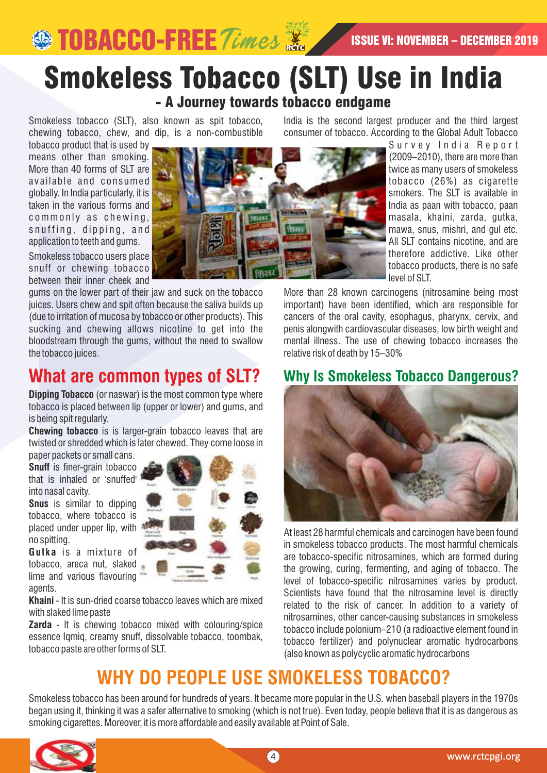# Smokeless Tobacco (SLT) Use in India - A Journey towards tobacco endgame

Smokeless tobacco (SLT), also known as spit tobacco, chewing tobacco, chew, and dip, is a non-combustible India is the second largest producer and the third largest consumer of tobacco. According to the Global Adult Tobacco

tobacco product that is used by means other than smoking. More than 40 forms of SLT are available and consumed globally. In India particularly, it is taken in the various forms and commonly as chewing, snuffing, dipping, and application to teeth and gums.

Smokeless tobacco users place snuff or chewing tobacco between their inner cheek and

gums on the lower part of their jaw and suck on the tobacco juices. Users chew and spit often because the saliva builds up (due to irritation of mucosa by tobacco or other products). This sucking and chewing allows nicotine to get into the bloodstream through the gums, without the need to swallow the tobacco juices.

# **What are common types of SLT?**

**Dipping Tobacco** (or naswar) is the most common type where tobacco is placed between lip (upper or lower) and gums, and is being spit regularly.

**Chewing tobacco** is is larger-grain tobacco leaves that are twisted or shredded which is later chewed. They come loose in paper packets or small cans.

**Snuff** is finer-grain tobacco that is inhaled or 'snuffed' into nasal cavity.

**Snus** is similar to dipping tobacco, where tobacco is placed under upper lip, with  $\frac{1}{2}$ no spitting.

**Gutka** is a mixture of tobacco, areca nut, slaked lime and various flavouring agents.

**Khaini** - It is sun-dried coarse tobacco leaves which are mixed with slaked lime paste

**Zarda** - It is chewing tobacco mixed with colouring/spice essence Iqmiq, creamy snuff, dissolvable tobacco, toombak, tobacco paste are other forms of SLT.



Survey India Report (2009–2010), there are more than twice as many users of smokeless tobacco (26%) as cigarette smokers. The SLT is available in India as paan with tobacco, paan masala, khaini, zarda, gutka, mawa, snus, mishri, and gul etc. All SLT contains nicotine, and are therefore addictive. Like other tobacco products, there is no safe level of SLT.

More than 28 known carcinogens (nitrosamine being most important) have been identified, which are responsible for cancers of the oral cavity, esophagus, pharynx, cervix, and penis alongwith cardiovascular diseases, low birth weight and mental illness. The use of chewing tobacco increases the relative risk of death by 15–30%

# **Why Is Smokeless Tobacco Dangerous?**



At least 28 harmful chemicals and carcinogen have been found in smokeless tobacco products. The most harmful chemicals are tobacco-specific nitrosamines, which are formed during the growing, curing, fermenting, and aging of tobacco. The level of tobacco-specific nitrosamines varies by product. Scientists have found that the nitrosamine level is directly related to the risk of cancer. In addition to a variety of nitrosamines, other cancer-causing substances in smokeless tobacco include polonium–210 (a radioactive element found in tobacco fertilizer) and polynuclear aromatic hydrocarbons (also known as polycyclic aromatic hydrocarbons

# **WHY DO PEOPLE USE SMOKELESS TOBACCO?**

Smokeless tobacco has been around for hundreds of years. It became more popular in the U.S. when baseball players in the 1970s began using it, thinking it was a safer alternative to smoking (which is not true). Even today, people believe that it is as dangerous as smoking cigarettes. Moreover, it is more affordable and easily available at Point of Sale.

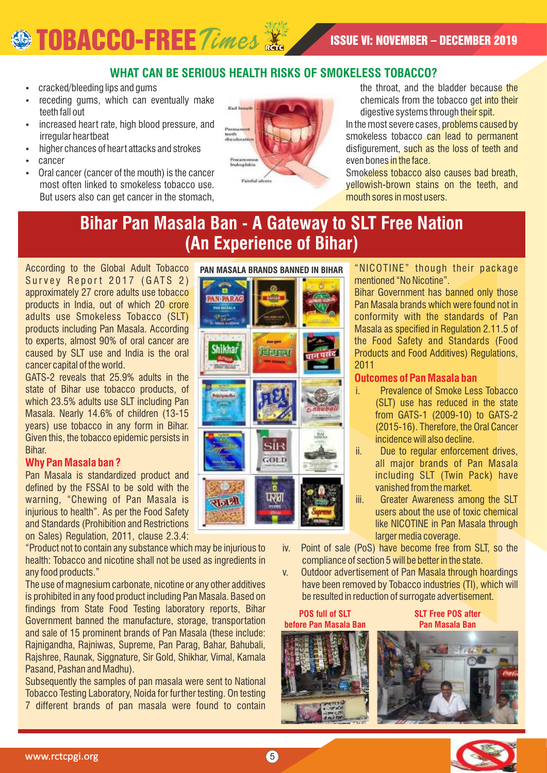# **SEPTOBACCO-FREE** Times **of the second of the U.S. November – DECEMBER 2019**

## **WHAT CAN BE SERIOUS HEALTH RISKS OF SMOKELESS TOBACCO?**

- cracked/bleeding lips and gums
- receding gums, which can eventually make teeth fall out
- increased heart rate, high blood pressure, and irregular heartbeat
- higher chances of heart attacks and strokes
- cancer
- Oral cancer (cancer of the mouth) is the cancer most often linked to smokeless tobacco use. But users also can get cancer in the stomach,



the throat, and the bladder because the chemicals from the tobacco get into their digestive systems through their spit.

In the most severe cases, problems caused by smokeless tobacco can lead to permanent disfigurement, such as the loss of teeth and even bones in the face.

Smokeless tobacco also causes bad breath, yellowish-brown stains on the teeth, and mouth sores in most users.

# **Bihar Pan Masala Ban - A Gateway to SLT Free Nation (An Experience of Bihar)**

According to the Global Adult Tobacco Survey Report 2017 (GATS 2) approximately 27 crore adults use tobacco products in India, out of which 20 crore adults use Smokeless Tobacco (SLT) products including Pan Masala. According to experts, almost 90% of oral cancer are caused by SLT use and India is the oral cancer capital of the world.

GATS-2 reveals that 25.9% adults in the state of Bihar use tobacco products, of which 23.5% adults use SLT including Pan Masala. Nearly 14.6% of children (13-15 years) use tobacco in any form in Bihar. Given this, the tobacco epidemic persists in Bihar.

## **Why Pan Masala ban ?**

Pan Masala is standardized product and defined by the FSSAI to be sold with the warning, "Chewing of Pan Masala is injurious to health". As per the Food Safety and Standards (Prohibition and Restrictions on Sales) Regulation, 2011, clause 2.3.4:

"Product not to contain any substance which may be injurious to health: Tobacco and nicotine shall not be used as ingredients in any food products."

The use of magnesium carbonate, nicotine or any other additives is prohibited in any food product including Pan Masala. Based on findings from State Food Testing laboratory reports, Bihar Government banned the manufacture, storage, transportation and sale of 15 prominent brands of Pan Masala (these include: Rajnigandha, Rajniwas, Supreme, Pan Parag, Bahar, Bahubali, Rajshree, Raunak, Siggnature, Sir Gold, Shikhar, Vimal, Kamala Pasand, Pashan and Madhu).

Subsequently the samples of pan masala were sent to National Tobacco Testing Laboratory, Noida for further testing. On testing 7 different brands of pan masala were found to contain



"NICOTINE" though their package mentioned "No Nicotine".

Bihar Government has banned only those Pan Masala brands which were found not in conformity with the standards of Pan Masala as specified in Regulation 2.11.5 of the Food Safety and Standards (Food Products and Food Additives) Regulations, 2011

## **Outcomes of Pan Masala ban**

- i. Prevalence of Smoke Less Tobacco (SLT) use has reduced in the state from GATS-1 (2009-10) to GATS-2 (2015-16). Therefore, the Oral Cancer incidence will also decline.
- ii. Due to regular enforcement drives, all major brands of Pan Masala including SLT (Twin Pack) have vanished from the market.
- iii. Greater Awareness among the SLT users about the use of toxic chemical like NICOTINE in Pan Masala through larger media coverage.
- iv. Point of sale (PoS) have become free from SLT, so the compliance of section 5 will be better in the state.
- v. Outdoor advertisement of Pan Masala through hoardings have been removed by Tobacco industries (TI), which will be resulted in reduction of surrogate advertisement.

**POS full of SLT before Pan Masala Ban**



**SLT Free POS after Pan Masala Ban**

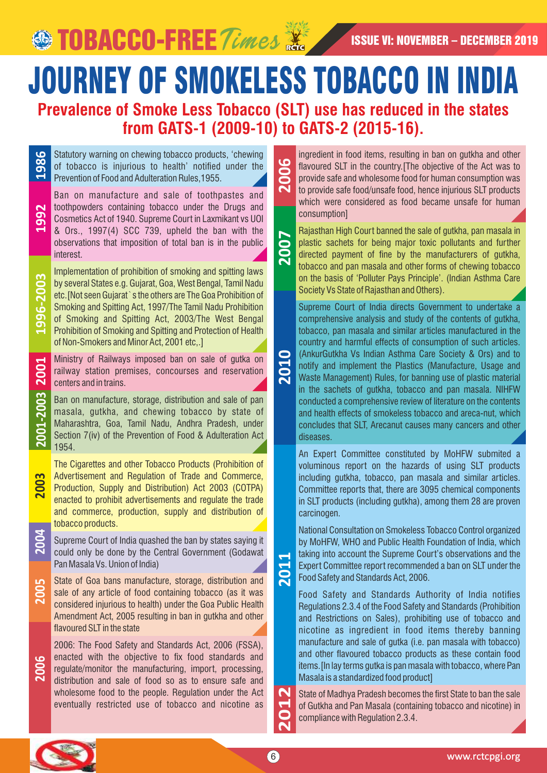**SEPTOBACCO-FREE** *Times* **X** ISSUE VI: NOVEMBER – DECEMBER 2019

JOURNEY OF SMOKELESS TOBACCO IN INDIA **Prevalence of Smoke Less Tobacco (SLT) use has reduced in the states** 

**2010**

**2011**

**from GATS-1 (2009-10) to GATS-2 (2015-16).** 

Statutory warning on chewing tobacco products, 'chewing of tobacco is injurious to health' notified under the **1986** Prevention of Food and Adulteration Rules,1955.

Ban on manufacture and sale of toothpastes and toothpowders containing tobacco under the Drugs and Cosmetics Act of 1940. Supreme Court in Laxmikant vs UOI & Ors., 1997(4) SCC 739, upheld the ban with the observations that imposition of total ban is in the public interest.

**1992**

**1996-2003**

**2001**

**2001-2003**

**2003**

**2005**

**2006**

Implementation of prohibition of smoking and spitting laws by several States e.g. Gujarat, Goa, West Bengal, Tamil Nadu etc.[Not seen Gujarat`s the others are The Goa Prohibition of Smoking and Spitting Act, 1997/The Tamil Nadu Prohibition of Smoking and Spitting Act, 2003/The West Bengal Prohibition of Smoking and Spitting and Protection of Health of Non-Smokers and Minor Act, 2001 etc,.]

Ministry of Railways imposed ban on sale of gutka on railway station premises, concourses and reservation centers and in trains.

Ban on manufacture, storage, distribution and sale of pan masala, gutkha, and chewing tobacco by state of Maharashtra, Goa, Tamil Nadu, Andhra Pradesh, under Section 7(iv) of the Prevention of Food & Adulteration Act 1954.

The Cigarettes and other Tobacco Products (Prohibition of Advertisement and Regulation of Trade and Commerce, Production, Supply and Distribution) Act 2003 (COTPA) enacted to prohibit advertisements and regulate the trade and commerce, production, supply and distribution of tobacco products.

- Supreme Court of India quashed the ban by states saying it could only be done by the Central Government (Godawat Pan Masala Vs. Union of India) **2004**
	- State of Goa bans manufacture, storage, distribution and sale of any article of food containing tobacco (as it was considered injurious to health) under the Goa Public Health Amendment Act, 2005 resulting in ban in gutkha and other flavoured SLT in the state

2006: The Food Safety and Standards Act, 2006 (FSSA), enacted with the objective to fix food standards and regulate/monitor the manufacturing, import, processing, distribution and sale of food so as to ensure safe and wholesome food to the people. Regulation under the Act eventually restricted use of tobacco and nicotine as

ingredient in food items, resulting in ban on gutkha and other flavoured SLT in the country. [The objective of the Act was to provide safe and wholesome food for human consumption was to provide safe food/unsafe food, hence injurious SLT products which were considered as food became unsafe for human consumption] **2012 2006**

Rajasthan High Court banned the sale of gutkha, pan masala in plastic sachets for being major toxic pollutants and further directed payment of fine by the manufacturers of gutkha, tobacco and pan masala and other forms of chewing tobacco on the basis of 'Polluter Pays Principle'. (Indian Asthma Care Society Vs State of Rajasthan and Others). **2007**

Supreme Court of India directs Government to undertake a comprehensive analysis and study of the contents of gutkha, tobacco, pan masala and similar articles manufactured in the country and harmful effects of consumption of such articles. (AnkurGutkha Vs Indian Asthma Care Society & Ors) and to notify and implement the Plastics (Manufacture, Usage and Waste Management) Rules, for banning use of plastic material in the sachets of gutkha, tobacco and pan masala. NIHFW conducted a comprehensive review of literature on the contents and health effects of smokeless tobacco and areca-nut, which concludes that SLT, Arecanut causes many cancers and other diseases.

An Expert Committee constituted by MoHFW submited a voluminous report on the hazards of using SLT products including gutkha, tobacco, pan masala and similar articles. Committee reports that, there are 3095 chemical components in SLT products (including gutkha), among them 28 are proven carcinogen.

National Consultation on Smokeless Tobacco Control organized by MoHFW, WHO and Public Health Foundation of India, which taking into account the Supreme Court's observations and the Expert Committee report recommended a ban on SLT under the Food Safety and Standards Act, 2006.

Food Safety and Standards Authority of India notifies Regulations 2.3.4 of the Food Safety and Standards (Prohibition and Restrictions on Sales), prohibiting use of tobacco and nicotine as ingredient in food items thereby banning manufacture and sale of gutka (i.e. pan masala with tobacco) and other flavoured tobacco products as these contain food items.[In lay terms gutka is pan masala with tobacco, where Pan Masala is a standardized food product]

State of Madhya Pradesh becomes the first State to ban the sale of Gutkha and Pan Masala (containing tobacco and nicotine) in compliance with Regulation 2.3.4. **2012**

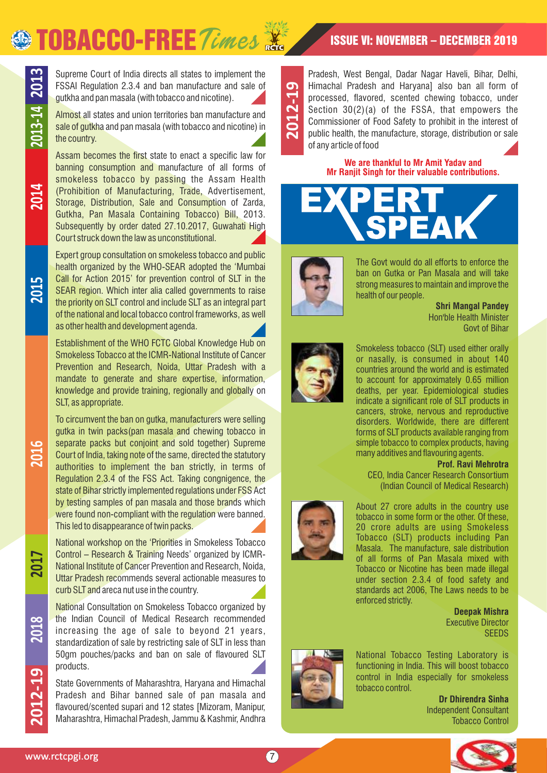# **SO TOBACCO-FREE** Times **X** ISSUE VI: NOVEMBER – DECEMBER 2019



**2014**

**2015**

Supreme Court of India directs all states to implement the FSSAI Regulation 2.3.4 and ban manufacture and sale of gutkha and pan masala (with tobacco and nicotine).

Almost all states and union territories ban manufacture and sale of gutkha and pan masala (with tobacco and nicotine) in the country.

Assam becomes the first state to enact a specific law for banning consumption and manufacture of all forms of smokeless tobacco by passing the Assam Health (Prohibition of Manufacturing, Trade, Advertisement, Storage, Distribution, Sale and Consumption of Zarda, Gutkha, Pan Masala Containing Tobacco) Bill, 2013. Subsequently by order dated 27.10.2017, Guwahati High Court struck down the law as unconstitutional.

Expert group consultation on smokeless tobacco and public health organized by the WHO-SEAR adopted the 'Mumbai Call for Action 2015' for prevention control of SLT in the SEAR region. Which inter alia called governments to raise the priority on SLT control and include SLT as an integral part of the national and local tobacco control frameworks, as well as other health and development agenda.

Establishment of the WHO FCTC Global Knowledge Hub on Smokeless Tobacco at the ICMR-National Institute of Cancer Prevention and Research, Noida, Uttar Pradesh with a mandate to generate and share expertise, information, knowledge and provide training, regionally and globally on SLT, as appropriate.

To circumvent the ban on gutka, manufacturers were selling gutka in twin packs(pan masala and chewing tobacco in separate packs but conjoint and sold together) Supreme Court of India, taking note of the same, directed the statutory authorities to implement the ban strictly, in terms of Regulation 2.3.4 of the FSS Act. Taking congnigence, the state of Bihar strictly implemented regulations under FSS Act by testing samples of pan masala and those brands which were found non-compliant with the regulation were banned. This led to disappearance of twin packs.

National workshop on the 'Priorities in Smokeless Tobacco Control – Research & Training Needs' organized by ICMR-National Institute of Cancer Prevention and Research, Noida, Uttar Pradesh recommends several actionable measures to curb SLT and areca nut use in the country.

National Consultation on Smokeless Tobacco organized by the Indian Council of Medical Research recommended increasing the age of sale to beyond 21 years, standardization of sale by restricting sale of SLT in less than 50gm pouches/packs and ban on sale of flavoured SLT products.

State Governments of Maharashtra, Haryana and Himachal Pradesh and Bihar banned sale of pan masala and flavoured/scented supari and 12 states [Mizoram, Manipur, Maharashtra, Himachal Pradesh, Jammu & Kashmir, Andhra **2012-19**

Pradesh, West Bengal, Dadar Nagar Haveli, Bihar, Delhi, Himachal Pradesh and Haryana] also ban all form of processed, flavored, scented chewing tobacco, under Section 30(2)(a) of the FSSA, that empowers the Commissioner of Food Safety to prohibit in the interest of public health, the manufacture, storage, distribution or sale of any article of food

#### **We are thankful to Mr Amit Yadav and Mr Ranjit Singh for their valuable contributions.**





The Govt would do all efforts to enforce the ban on Gutka or Pan Masala and will take strong measures to maintain and improve the health of our people.

> Hon'ble Health Minister Govt of Bihar **Shri Mangal Pandey**



Smokeless tobacco (SLT) used either orally or nasally, is consumed in about 140 countries around the world and is estimated to account for approximately 0.65 million deaths, per year. Epidemiological studies indicate a significant role of SLT products in cancers, stroke, nervous and reproductive disorders. Worldwide, there are different forms of SLT products available ranging from simple tobacco to complex products, having many additives and flavouring agents.

#### **Prof. Ravi Mehrotra**

(Indian Council of Medical Research) CEO, India Cancer Research Consortium

About 27 crore adults in the country use tobacco in some form or the other. Of these, 20 crore adults are using Smokeless Tobacco (SLT) products including Pan Masala. The manufacture, sale distribution of all forms of Pan Masala mixed with Tobacco or Nicotine has been made illegal under section 2.3.4 of food safety and standards act 2006, The Laws needs to be enforced strictly.

**Deepak Mishra** Executive Director **SEEDS** 



National Tobacco Testing Laboratory is functioning in India. This will boost tobacco control in India especially for smokeless tobacco control.

Independent Consultant Tobacco Control **Dr Dhirendra Sinha**



**2017**

**2018**

**2016**